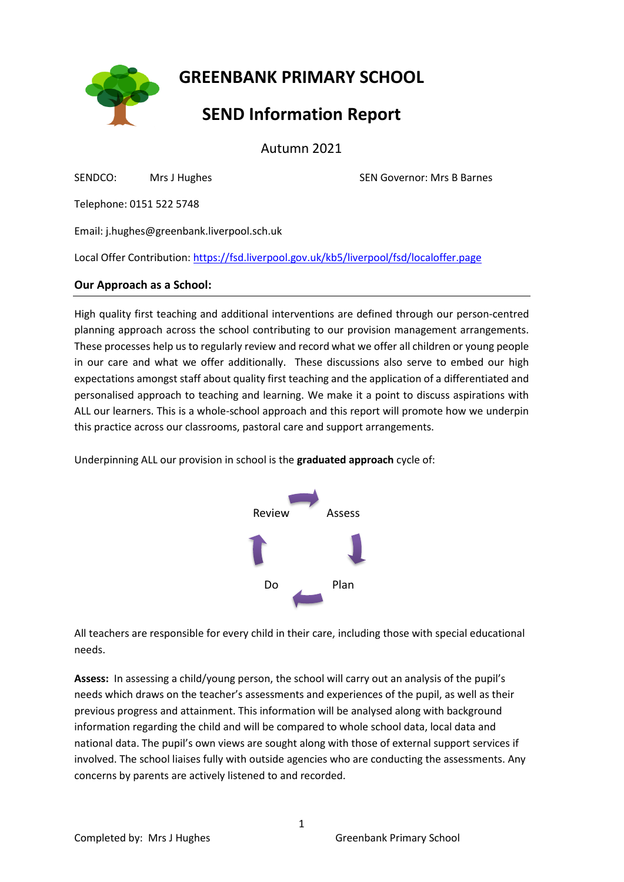**GREENBANK PRIMARY SCHOOL**

# **SEND Information Report**

Autumn 2021

SENDCO: Mrs J HughesSEN Governor: Mrs B Barnes

Telephone: 0151 522 5748

Email: j.hughes@greenbank.liverpool.sch.uk

Local Offer Contribution: [https://fsd.liverpool.gov.uk/kb5/liverpool/fsd/localoffer.page](https://fsd.liverpool.gov.uk/kb5/liverpool/fsd/localoffer.page?localofferchannel=0)

## **Our Approach as a School:**

High quality first teaching and additional interventions are defined through our person-centred planning approach across the school contributing to our provision management arrangements. These processes help us to regularly review and record what we offer all children or young people in our care and what we offer additionally. These discussions also serve to embed our high expectations amongst staff about quality first teaching and the application of a differentiated and personalised approach to teaching and learning. We make it a point to discuss aspirations with ALL our learners. This is a whole-school approach and this report will promote how we underpin this practice across our classrooms, pastoral care and support arrangements.

Underpinning ALL our provision in school is the **graduated approach** cycle of:



All teachers are responsible for every child in their care, including those with special educational needs.

**Assess:** In assessing a child/young person, the school will carry out an analysis of the pupil's needs which draws on the teacher's assessments and experiences of the pupil, as well as their previous progress and attainment. This information will be analysed along with background information regarding the child and will be compared to whole school data, local data and national data. The pupil's own views are sought along with those of external support services if involved. The school liaises fully with outside agencies who are conducting the assessments. Any concerns by parents are actively listened to and recorded.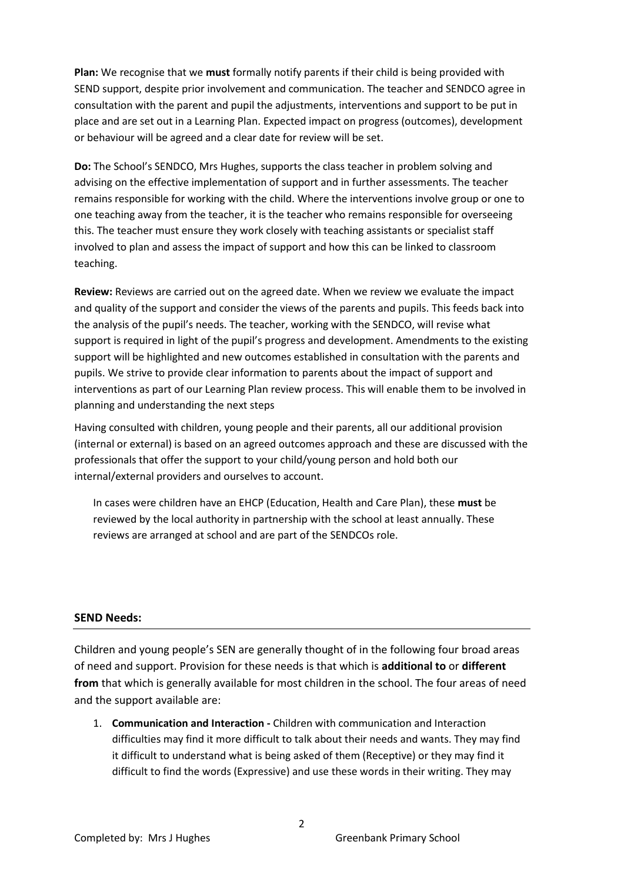**Plan:** We recognise that we **must** formally notify parents if their child is being provided with SEND support, despite prior involvement and communication. The teacher and SENDCO agree in consultation with the parent and pupil the adjustments, interventions and support to be put in place and are set out in a Learning Plan. Expected impact on progress (outcomes), development or behaviour will be agreed and a clear date for review will be set.

**Do:** The School's SENDCO, Mrs Hughes, supports the class teacher in problem solving and advising on the effective implementation of support and in further assessments. The teacher remains responsible for working with the child. Where the interventions involve group or one to one teaching away from the teacher, it is the teacher who remains responsible for overseeing this. The teacher must ensure they work closely with teaching assistants or specialist staff involved to plan and assess the impact of support and how this can be linked to classroom teaching.

**Review:** Reviews are carried out on the agreed date. When we review we evaluate the impact and quality of the support and consider the views of the parents and pupils. This feeds back into the analysis of the pupil's needs. The teacher, working with the SENDCO, will revise what support is required in light of the pupil's progress and development. Amendments to the existing support will be highlighted and new outcomes established in consultation with the parents and pupils. We strive to provide clear information to parents about the impact of support and interventions as part of our Learning Plan review process. This will enable them to be involved in planning and understanding the next steps

Having consulted with children, young people and their parents, all our additional provision (internal or external) is based on an agreed outcomes approach and these are discussed with the professionals that offer the support to your child/young person and hold both our internal/external providers and ourselves to account.

In cases were children have an EHCP (Education, Health and Care Plan), these **must** be reviewed by the local authority in partnership with the school at least annually. These reviews are arranged at school and are part of the SENDCOs role.

#### **SEND Needs:**

Children and young people's SEN are generally thought of in the following four broad areas of need and support. Provision for these needs is that which is **additional to** or **different from** that which is generally available for most children in the school. The four areas of need and the support available are:

1. **Communication and Interaction -** Children with communication and Interaction difficulties may find it more difficult to talk about their needs and wants. They may find it difficult to understand what is being asked of them (Receptive) or they may find it difficult to find the words (Expressive) and use these words in their writing. They may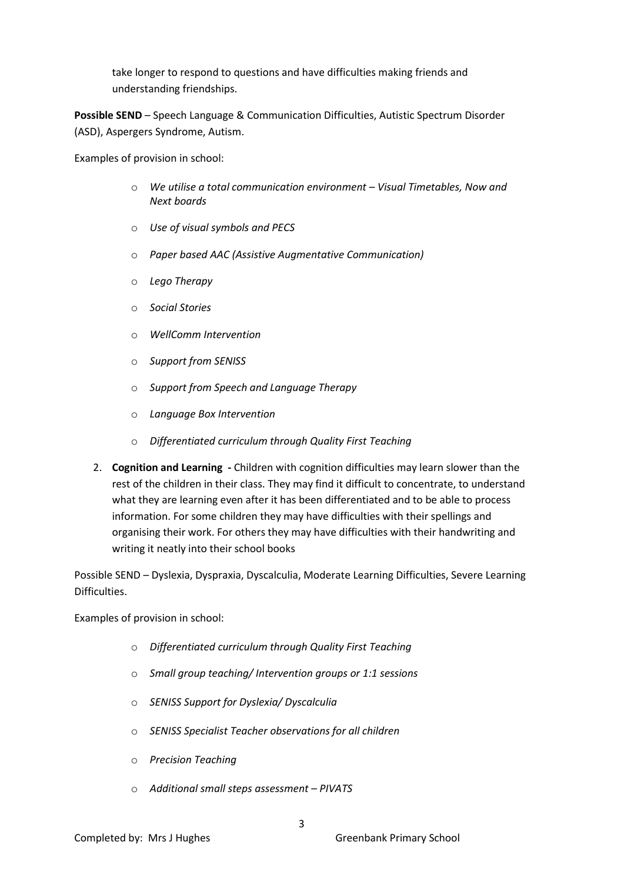take longer to respond to questions and have difficulties making friends and understanding friendships.

**Possible SEND** – Speech Language & Communication Difficulties, Autistic Spectrum Disorder (ASD), Aspergers Syndrome, Autism.

Examples of provision in school:

- o *We utilise a total communication environment – Visual Timetables, Now and Next boards*
- o *Use of visual symbols and PECS*
- o *Paper based AAC (Assistive Augmentative Communication)*
- o *Lego Therapy*
- o *Social Stories*
- o *WellComm Intervention*
- o *Support from SENISS*
- o *Support from Speech and Language Therapy*
- o *Language Box Intervention*
- o *Differentiated curriculum through Quality First Teaching*
- 2. **Cognition and Learning -** Children with cognition difficulties may learn slower than the rest of the children in their class. They may find it difficult to concentrate, to understand what they are learning even after it has been differentiated and to be able to process information. For some children they may have difficulties with their spellings and organising their work. For others they may have difficulties with their handwriting and writing it neatly into their school books

Possible SEND – Dyslexia, Dyspraxia, Dyscalculia, Moderate Learning Difficulties, Severe Learning Difficulties.

Examples of provision in school:

- o *Differentiated curriculum through Quality First Teaching*
- o *Small group teaching/ Intervention groups or 1:1 sessions*
- o *SENISS Support for Dyslexia/ Dyscalculia*
- o *SENISS Specialist Teacher observations for all children*
- o *Precision Teaching*
- o *Additional small steps assessment – PIVATS*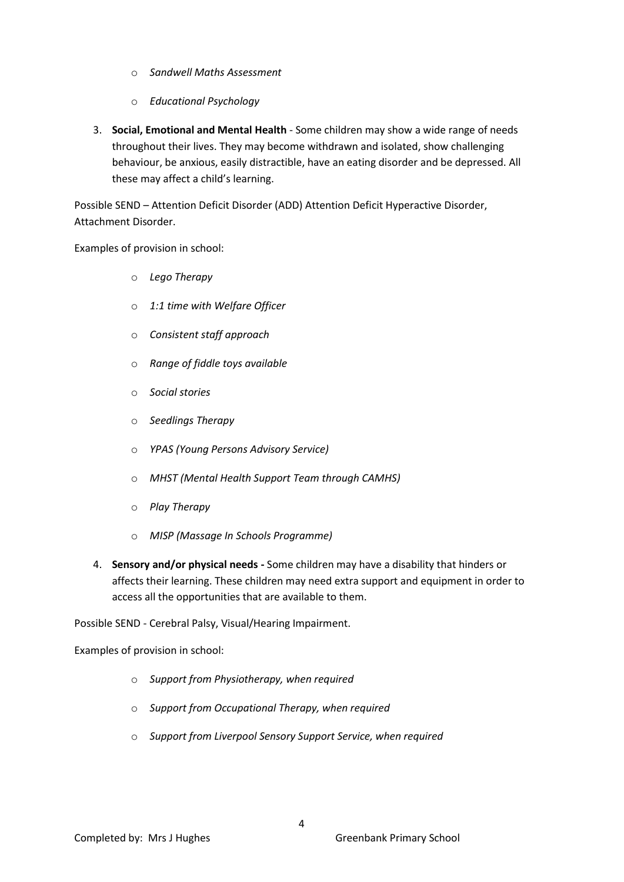- o *Sandwell Maths Assessment*
- o *Educational Psychology*
- 3. **Social, Emotional and Mental Health** Some children may show a wide range of needs throughout their lives. They may become withdrawn and isolated, show challenging behaviour, be anxious, easily distractible, have an eating disorder and be depressed. All these may affect a child's learning.

Possible SEND – Attention Deficit Disorder (ADD) Attention Deficit Hyperactive Disorder, Attachment Disorder.

Examples of provision in school:

- o *Lego Therapy*
- o *1:1 time with Welfare Officer*
- o *Consistent staff approach*
- o *Range of fiddle toys available*
- o *Social stories*
- o *Seedlings Therapy*
- o *YPAS (Young Persons Advisory Service)*
- o *MHST (Mental Health Support Team through CAMHS)*
- o *Play Therapy*
- o *MISP (Massage In Schools Programme)*
- 4. **Sensory and/or physical needs -** Some children may have a disability that hinders or affects their learning. These children may need extra support and equipment in order to access all the opportunities that are available to them.

Possible SEND - Cerebral Palsy, Visual/Hearing Impairment.

Examples of provision in school:

- o *Support from Physiotherapy, when required*
- o *Support from Occupational Therapy, when required*
- o *Support from Liverpool Sensory Support Service, when required*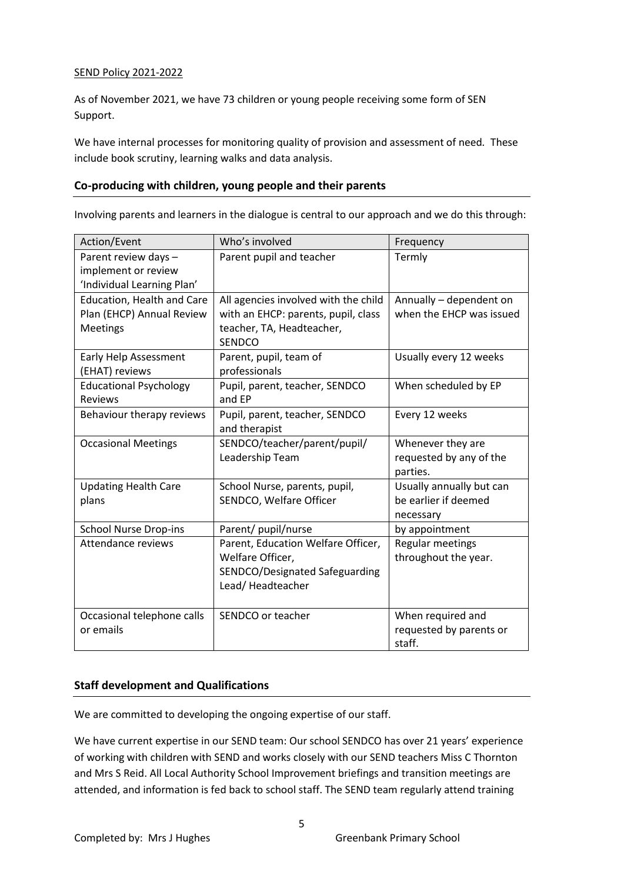## SEND Policy 2021-2022

As of November 2021, we have 73 children or young people receiving some form of SEN Support.

We have internal processes for monitoring quality of provision and assessment of need*.* These include book scrutiny, learning walks and data analysis.

## **Co-producing with children, young people and their parents**

Involving parents and learners in the dialogue is central to our approach and we do this through:

| Action/Event                                      | Who's involved                             | Frequency                |
|---------------------------------------------------|--------------------------------------------|--------------------------|
| Parent review days -                              | Parent pupil and teacher                   | Termly                   |
| implement or review<br>'Individual Learning Plan' |                                            |                          |
|                                                   |                                            |                          |
| <b>Education, Health and Care</b>                 | All agencies involved with the child       | Annually - dependent on  |
| Plan (EHCP) Annual Review                         | with an EHCP: parents, pupil, class        | when the EHCP was issued |
| <b>Meetings</b>                                   | teacher, TA, Headteacher,<br><b>SENDCO</b> |                          |
| Early Help Assessment                             | Parent, pupil, team of                     | Usually every 12 weeks   |
| (EHAT) reviews                                    | professionals                              |                          |
| <b>Educational Psychology</b>                     | Pupil, parent, teacher, SENDCO             | When scheduled by EP     |
| <b>Reviews</b>                                    | and EP                                     |                          |
| Behaviour therapy reviews                         | Pupil, parent, teacher, SENDCO             | Every 12 weeks           |
|                                                   | and therapist                              |                          |
| <b>Occasional Meetings</b>                        | SENDCO/teacher/parent/pupil/               | Whenever they are        |
|                                                   | Leadership Team                            | requested by any of the  |
|                                                   |                                            | parties.                 |
| <b>Updating Health Care</b>                       | School Nurse, parents, pupil,              | Usually annually but can |
| plans                                             | SENDCO, Welfare Officer                    | be earlier if deemed     |
|                                                   |                                            | necessary                |
| <b>School Nurse Drop-ins</b>                      | Parent/ pupil/nurse                        | by appointment           |
| Attendance reviews                                | Parent, Education Welfare Officer,         | Regular meetings         |
|                                                   | Welfare Officer,                           | throughout the year.     |
|                                                   | SENDCO/Designated Safeguarding             |                          |
|                                                   | Lead/Headteacher                           |                          |
|                                                   |                                            |                          |
| Occasional telephone calls                        | SENDCO or teacher                          | When required and        |
| or emails                                         |                                            | requested by parents or  |
|                                                   |                                            | staff.                   |

## **Staff development and Qualifications**

We are committed to developing the ongoing expertise of our staff.

We have current expertise in our SEND team: Our school SENDCO has over 21 years' experience of working with children with SEND and works closely with our SEND teachers Miss C Thornton and Mrs S Reid. All Local Authority School Improvement briefings and transition meetings are attended, and information is fed back to school staff. The SEND team regularly attend training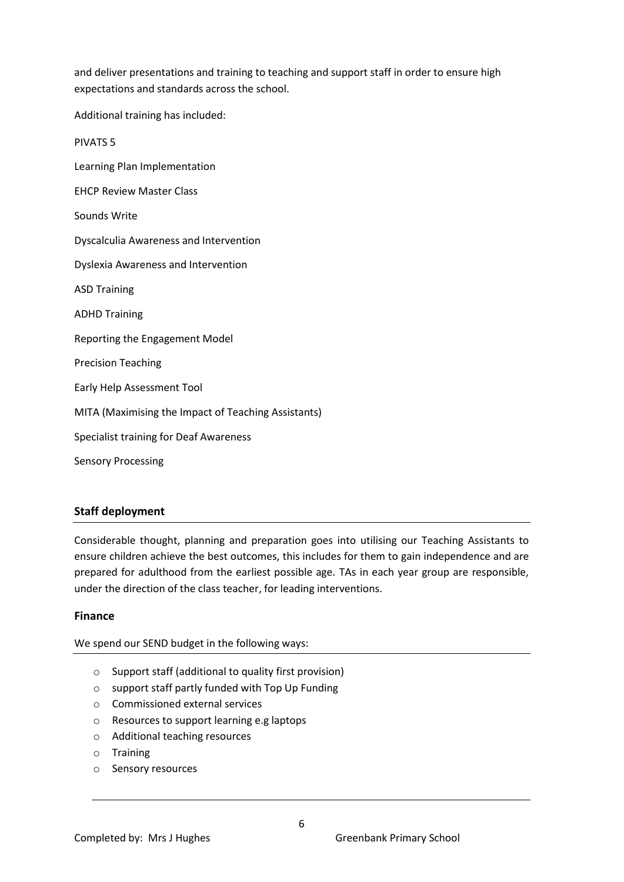and deliver presentations and training to teaching and support staff in order to ensure high expectations and standards across the school.

Additional training has included:

PIVATS 5 Learning Plan Implementation EHCP Review Master Class Sounds Write Dyscalculia Awareness and Intervention Dyslexia Awareness and Intervention ASD Training ADHD Training Reporting the Engagement Model Precision Teaching Early Help Assessment Tool MITA (Maximising the Impact of Teaching Assistants) Specialist training for Deaf Awareness Sensory Processing

# **Staff deployment**

Considerable thought, planning and preparation goes into utilising our Teaching Assistants to ensure children achieve the best outcomes, this includes for them to gain independence and are prepared for adulthood from the earliest possible age. TAs in each year group are responsible, under the direction of the class teacher, for leading interventions.

## **Finance**

We spend our SEND budget in the following ways:

- o Support staff (additional to quality first provision)
- o support staff partly funded with Top Up Funding
- o Commissioned external services
- o Resources to support learning e.g laptops
- o Additional teaching resources
- o Training
- o Sensory resources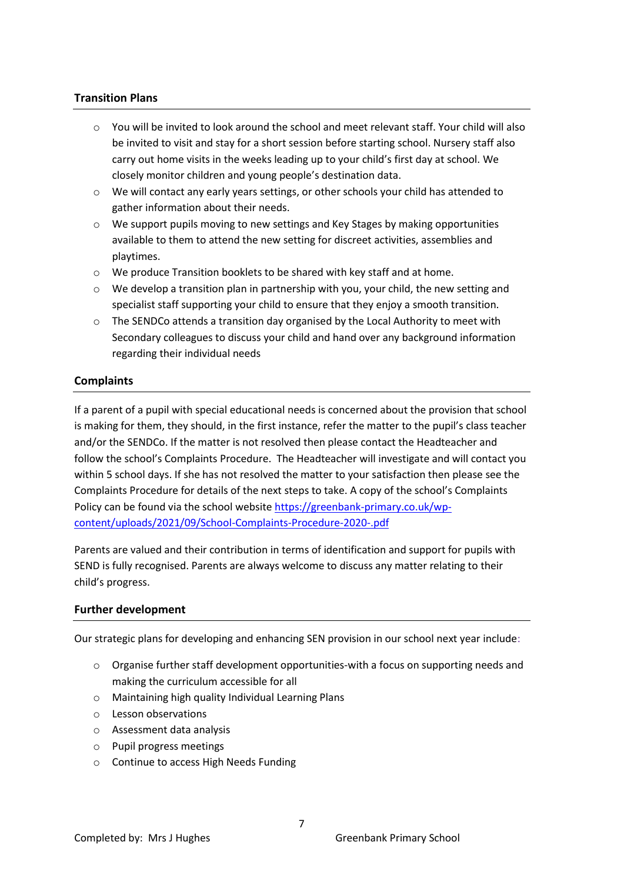## **Transition Plans**

- $\circ$  You will be invited to look around the school and meet relevant staff. Your child will also be invited to visit and stay for a short session before starting school. Nursery staff also carry out home visits in the weeks leading up to your child's first day at school. We closely monitor children and young people's destination data.
- o We will contact any early years settings, or other schools your child has attended to gather information about their needs.
- o We support pupils moving to new settings and Key Stages by making opportunities available to them to attend the new setting for discreet activities, assemblies and playtimes.
- o We produce Transition booklets to be shared with key staff and at home.
- $\circ$  We develop a transition plan in partnership with you, your child, the new setting and specialist staff supporting your child to ensure that they enjoy a smooth transition.
- $\circ$  The SENDCo attends a transition day organised by the Local Authority to meet with Secondary colleagues to discuss your child and hand over any background information regarding their individual needs

## **Complaints**

If a parent of a pupil with special educational needs is concerned about the provision that school is making for them, they should, in the first instance, refer the matter to the pupil's class teacher and/or the SENDCo. If the matter is not resolved then please contact the Headteacher and follow the school's Complaints Procedure. The Headteacher will investigate and will contact you within 5 school days. If she has not resolved the matter to your satisfaction then please see the Complaints Procedure for details of the next steps to take. A copy of the school's Complaints Policy can be found via the school website [https://greenbank-primary.co.uk/wp](https://greenbank-primary.co.uk/wp-content/uploads/2021/09/School-Complaints-Procedure-2020-.pdf)[content/uploads/2021/09/School-Complaints-Procedure-2020-.pdf](https://greenbank-primary.co.uk/wp-content/uploads/2021/09/School-Complaints-Procedure-2020-.pdf)

Parents are valued and their contribution in terms of identification and support for pupils with SEND is fully recognised. Parents are always welcome to discuss any matter relating to their child's progress.

#### **Further development**

Our strategic plans for developing and enhancing SEN provision in our school next year include:

- $\circ$  Organise further staff development opportunities-with a focus on supporting needs and making the curriculum accessible for all
- o Maintaining high quality Individual Learning Plans
- o Lesson observations
- o Assessment data analysis
- o Pupil progress meetings
- o Continue to access High Needs Funding